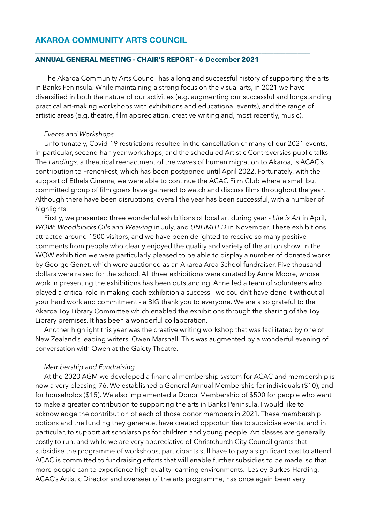# **AKAROA COMMUNITY ARTS COUNCIL**

### **ANNUAL GENERAL MEETING - CHAIR'S REPORT - 6 December 2021**

The Akaroa Community Arts Council has a long and successful history of supporting the arts in Banks Peninsula. While maintaining a strong focus on the visual arts, in 2021 we have diversified in both the nature of our activities (e.g. augmenting our successful and longstanding practical art-making workshops with exhibitions and educational events), and the range of artistic areas (e.g. theatre, film appreciation, creative writing and, most recently, music).

**\_\_\_\_\_\_\_\_\_\_\_\_\_\_\_\_\_\_\_\_\_\_\_\_\_\_\_\_\_\_\_\_\_\_\_\_\_\_\_\_\_\_\_\_\_\_\_\_\_\_\_\_\_\_\_\_\_\_\_\_\_\_\_\_\_\_\_\_** 

#### *Events and Workshops*

Unfortunately, Covid-19 restrictions resulted in the cancellation of many of our 2021 events, in particular, second half-year workshops, and the scheduled Artistic Controversies public talks. The *Landings,* a theatrical reenactment of the waves of human migration to Akaroa, is ACAC's contribution to FrenchFest, which has been postponed until April 2022. Fortunately, with the support of Ethels Cinema, we were able to continue the ACAC Film Club where a small but committed group of film goers have gathered to watch and discuss films throughout the year. Although there have been disruptions, overall the year has been successful, with a number of highlights.

Firstly, we presented three wonderful exhibitions of local art during year - *Life is Art* in April, *WOW: Woodblocks Oils and Weaving* in July, and *UNLIMITED* in November. These exhibitions attracted around 1500 visitors, and we have been delighted to receive so many positive comments from people who clearly enjoyed the quality and variety of the art on show. In the WOW exhibition we were particularly pleased to be able to display a number of donated works by George Genet, which were auctioned as an Akaroa Area School fundraiser. Five thousand dollars were raised for the school. All three exhibitions were curated by Anne Moore, whose work in presenting the exhibitions has been outstanding. Anne led a team of volunteers who played a critical role in making each exhibition a success - we couldn't have done it without all your hard work and commitment - a BIG thank you to everyone. We are also grateful to the Akaroa Toy Library Committee which enabled the exhibitions through the sharing of the Toy Library premises. It has been a wonderful collaboration.

Another highlight this year was the creative writing workshop that was facilitated by one of New Zealand's leading writers, Owen Marshall. This was augmented by a wonderful evening of conversation with Owen at the Gaiety Theatre.

### *Membership and Fundraising*

At the 2020 AGM we developed a financial membership system for ACAC and membership is now a very pleasing 76. We established a General Annual Membership for individuals (\$10), and for households (\$15). We also implemented a Donor Membership of \$500 for people who want to make a greater contribution to supporting the arts in Banks Peninsula. I would like to acknowledge the contribution of each of those donor members in 2021. These membership options and the funding they generate, have created opportunities to subsidise events, and in particular, to support art scholarships for children and young people. Art classes are generally costly to run, and while we are very appreciative of Christchurch City Council grants that subsidise the programme of workshops, participants still have to pay a significant cost to attend. ACAC is committed to fundraising efforts that will enable further subsidies to be made, so that more people can to experience high quality learning environments. Lesley Burkes-Harding, ACAC's Artistic Director and overseer of the arts programme, has once again been very